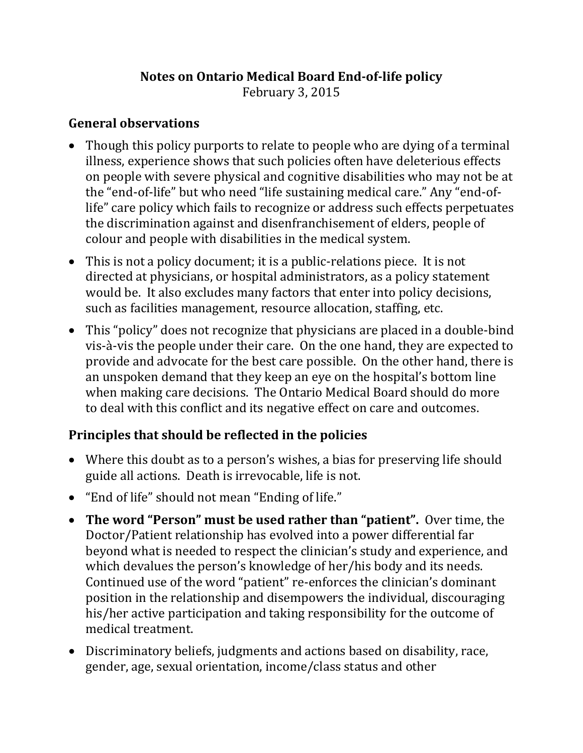## **Notes on Ontario Medical Board End-of-life policy**

February 3, 2015

#### **General observations**

- Though this policy purports to relate to people who are dying of a terminal illness, experience shows that such policies often have deleterious effects on people with severe physical and cognitive disabilities who may not be at the "end-of-life" but who need "life sustaining medical care." Any "end-oflife" care policy which fails to recognize or address such effects perpetuates the discrimination against and disenfranchisement of elders, people of colour and people with disabilities in the medical system.
- This is not a policy document; it is a public-relations piece. It is not directed at physicians, or hospital administrators, as a policy statement would be. It also excludes many factors that enter into policy decisions, such as facilities management, resource allocation, staffing, etc.
- This "policy" does not recognize that physicians are placed in a double-bind vis-à-vis the people under their care. On the one hand, they are expected to provide and advocate for the best care possible. On the other hand, there is an unspoken demand that they keep an eye on the hospital's bottom line when making care decisions. The Ontario Medical Board should do more to deal with this conflict and its negative effect on care and outcomes.

## **Principles that should be reflected in the policies**

- Where this doubt as to a person's wishes, a bias for preserving life should guide all actions. Death is irrevocable, life is not.
- "End of life" should not mean "Ending of life."
- **The word "Person" must be used rather than "patient".** Over time, the Doctor/Patient relationship has evolved into a power differential far beyond what is needed to respect the clinician's study and experience, and which devalues the person's knowledge of her/his body and its needs. Continued use of the word "patient" re-enforces the clinician's dominant position in the relationship and disempowers the individual, discouraging his/her active participation and taking responsibility for the outcome of medical treatment.
- Discriminatory beliefs, judgments and actions based on disability, race, gender, age, sexual orientation, income/class status and other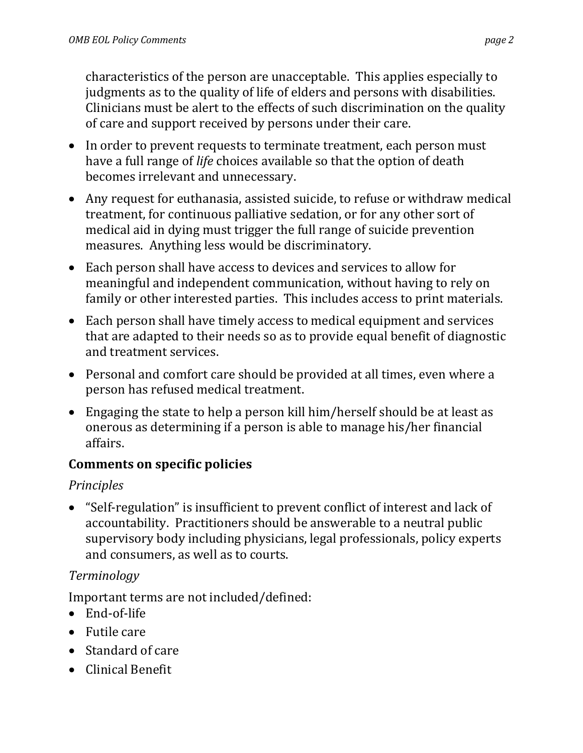characteristics of the person are unacceptable. This applies especially to judgments as to the quality of life of elders and persons with disabilities. Clinicians must be alert to the effects of such discrimination on the quality of care and support received by persons under their care.

- In order to prevent requests to terminate treatment, each person must have a full range of *life* choices available so that the option of death becomes irrelevant and unnecessary.
- Any request for euthanasia, assisted suicide, to refuse or withdraw medical treatment, for continuous palliative sedation, or for any other sort of medical aid in dying must trigger the full range of suicide prevention measures. Anything less would be discriminatory.
- Each person shall have access to devices and services to allow for meaningful and independent communication, without having to rely on family or other interested parties. This includes access to print materials.
- Each person shall have timely access to medical equipment and services that are adapted to their needs so as to provide equal benefit of diagnostic and treatment services.
- Personal and comfort care should be provided at all times, even where a person has refused medical treatment.
- Engaging the state to help a person kill him/herself should be at least as onerous as determining if a person is able to manage his/her financial affairs.

## **Comments on specific policies**

# *Principles*

• "Self-regulation" is insufficient to prevent conflict of interest and lack of accountability. Practitioners should be answerable to a neutral public supervisory body including physicians, legal professionals, policy experts and consumers, as well as to courts.

# *Terminology*

Important terms are not included/defined:

- End-of-life
- Futile care
- Standard of care
- Clinical Benefit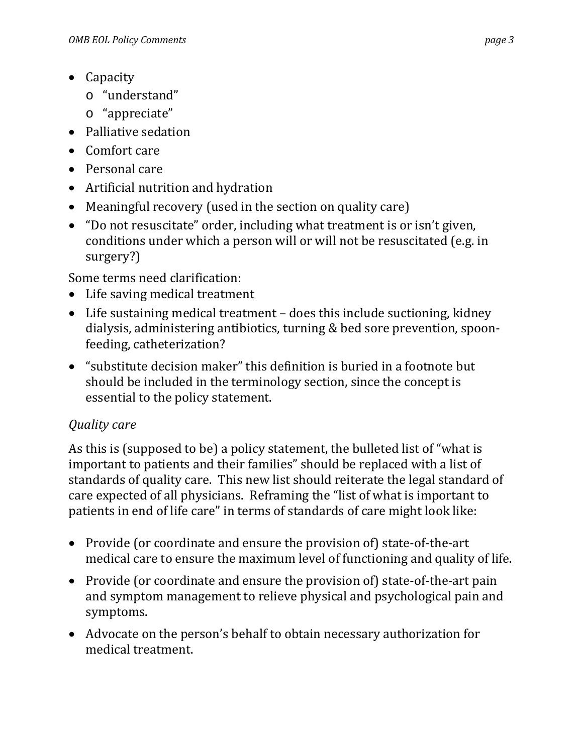- Capacity
	- o "understand"
	- o "appreciate"
- Palliative sedation
- Comfort care
- Personal care
- Artificial nutrition and hydration
- Meaningful recovery (used in the section on quality care)
- "Do not resuscitate" order, including what treatment is or isn't given, conditions under which a person will or will not be resuscitated (e.g. in surgery?)

Some terms need clarification:

- Life saving medical treatment
- Life sustaining medical treatment does this include suctioning, kidney dialysis, administering antibiotics, turning & bed sore prevention, spoonfeeding, catheterization?
- "substitute decision maker" this definition is buried in a footnote but should be included in the terminology section, since the concept is essential to the policy statement.

## *Quality care*

As this is (supposed to be) a policy statement, the bulleted list of "what is important to patients and their families" should be replaced with a list of standards of quality care. This new list should reiterate the legal standard of care expected of all physicians. Reframing the "list of what is important to patients in end of life care" in terms of standards of care might look like:

- Provide (or coordinate and ensure the provision of) state-of-the-art medical care to ensure the maximum level of functioning and quality of life.
- Provide (or coordinate and ensure the provision of) state-of-the-art pain and symptom management to relieve physical and psychological pain and symptoms.
- Advocate on the person's behalf to obtain necessary authorization for medical treatment.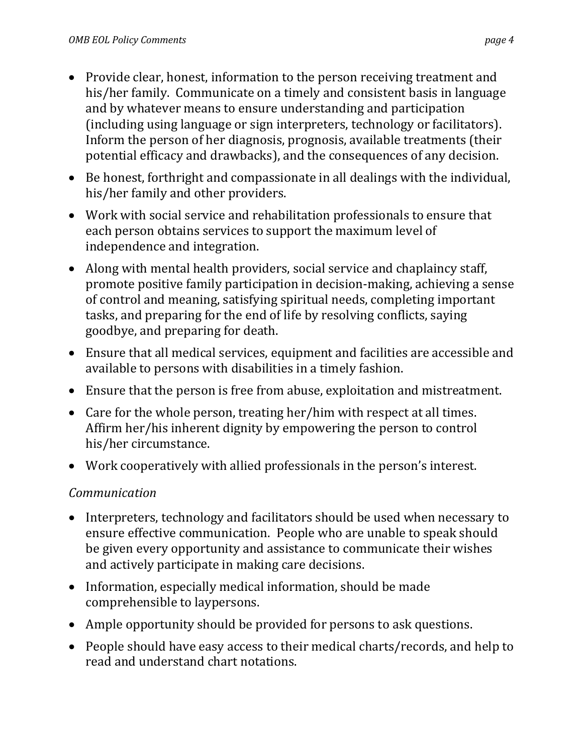- Provide clear, honest, information to the person receiving treatment and his/her family. Communicate on a timely and consistent basis in language and by whatever means to ensure understanding and participation (including using language or sign interpreters, technology or facilitators). Inform the person of her diagnosis, prognosis, available treatments (their potential efficacy and drawbacks), and the consequences of any decision.
- Be honest, forthright and compassionate in all dealings with the individual, his/her family and other providers.
- Work with social service and rehabilitation professionals to ensure that each person obtains services to support the maximum level of independence and integration.
- Along with mental health providers, social service and chaplaincy staff, promote positive family participation in decision-making, achieving a sense of control and meaning, satisfying spiritual needs, completing important tasks, and preparing for the end of life by resolving conflicts, saying goodbye, and preparing for death.
- Ensure that all medical services, equipment and facilities are accessible and available to persons with disabilities in a timely fashion.
- Ensure that the person is free from abuse, exploitation and mistreatment.
- Care for the whole person, treating her/him with respect at all times. Affirm her/his inherent dignity by empowering the person to control his/her circumstance.
- Work cooperatively with allied professionals in the person's interest.

#### *Communication*

- Interpreters, technology and facilitators should be used when necessary to ensure effective communication. People who are unable to speak should be given every opportunity and assistance to communicate their wishes and actively participate in making care decisions.
- Information, especially medical information, should be made comprehensible to laypersons.
- Ample opportunity should be provided for persons to ask questions.
- People should have easy access to their medical charts/records, and help to read and understand chart notations.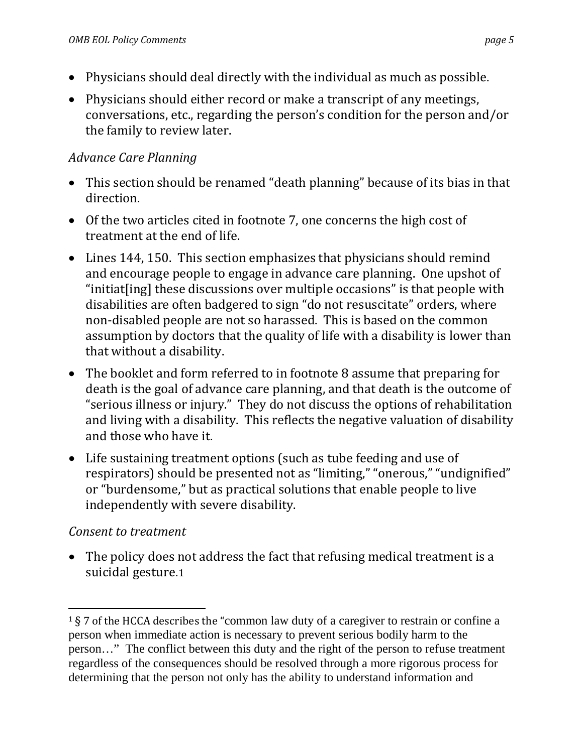- Physicians should deal directly with the individual as much as possible.
- Physicians should either record or make a transcript of any meetings, conversations, etc., regarding the person's condition for the person and/or the family to review later.

## *Advance Care Planning*

- This section should be renamed "death planning" because of its bias in that direction.
- Of the two articles cited in footnote 7, one concerns the high cost of treatment at the end of life.
- Lines 144, 150. This section emphasizes that physicians should remind and encourage people to engage in advance care planning. One upshot of "initiat[ing] these discussions over multiple occasions" is that people with disabilities are often badgered to sign "do not resuscitate" orders, where non-disabled people are not so harassed. This is based on the common assumption by doctors that the quality of life with a disability is lower than that without a disability.
- The booklet and form referred to in footnote 8 assume that preparing for death is the goal of advance care planning, and that death is the outcome of "serious illness or injury." They do not discuss the options of rehabilitation and living with a disability. This reflects the negative valuation of disability and those who have it.
- Life sustaining treatment options (such as tube feeding and use of respirators) should be presented not as "limiting," "onerous," "undignified" or "burdensome," but as practical solutions that enable people to live independently with severe disability.

## *Consent to treatment*

• The policy does [n](#page-4-0)ot address the fact that refusing medical treatment is a suicidal gesture.1

<span id="page-4-0"></span> <sup>1</sup> § 7 of the HCCA describes the "common law duty of a caregiver to restrain or confine a person when immediate action is necessary to prevent serious bodily harm to the person…" The conflict between this duty and the right of the person to refuse treatment regardless of the consequences should be resolved through a more rigorous process for determining that the person not only has the ability to understand information and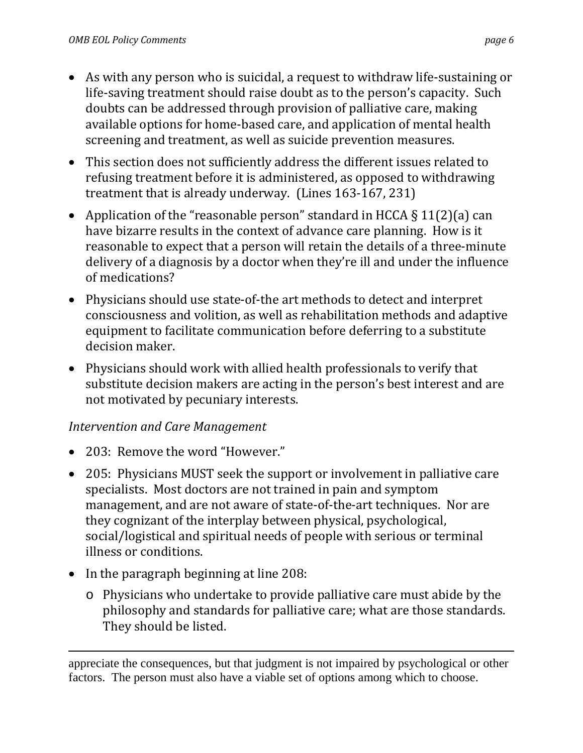- As with any person who is suicidal, a request to withdraw life-sustaining or life-saving treatment should raise doubt as to the person's capacity. Such doubts can be addressed through provision of palliative care, making available options for home-based care, and application of mental health screening and treatment, as well as suicide prevention measures.
- This section does not sufficiently address the different issues related to refusing treatment before it is administered, as opposed to withdrawing treatment that is already underway. (Lines 163-167, 231)
- Application of the "reasonable person" standard in HCCA § 11(2)(a) can have bizarre results in the context of advance care planning. How is it reasonable to expect that a person will retain the details of a three-minute delivery of a diagnosis by a doctor when they're ill and under the influence of medications?
- Physicians should use state-of-the art methods to detect and interpret consciousness and volition, as well as rehabilitation methods and adaptive equipment to facilitate communication before deferring to a substitute decision maker.
- Physicians should work with allied health professionals to verify that substitute decision makers are acting in the person's best interest and are not motivated by pecuniary interests.

#### *Intervention and Care Management*

- 203: Remove the word "However."
- 205: Physicians MUST seek the support or involvement in palliative care specialists. Most doctors are not trained in pain and symptom management, and are not aware of state-of-the-art techniques. Nor are they cognizant of the interplay between physical, psychological, social/logistical and spiritual needs of people with serious or terminal illness or conditions.
- In the paragraph beginning at line 208:
	- o Physicians who undertake to provide palliative care must abide by the philosophy and standards for palliative care; what are those standards. They should be listed.

i<br>I appreciate the consequences, but that judgment is not impaired by psychological or other factors. The person must also have a viable set of options among which to choose.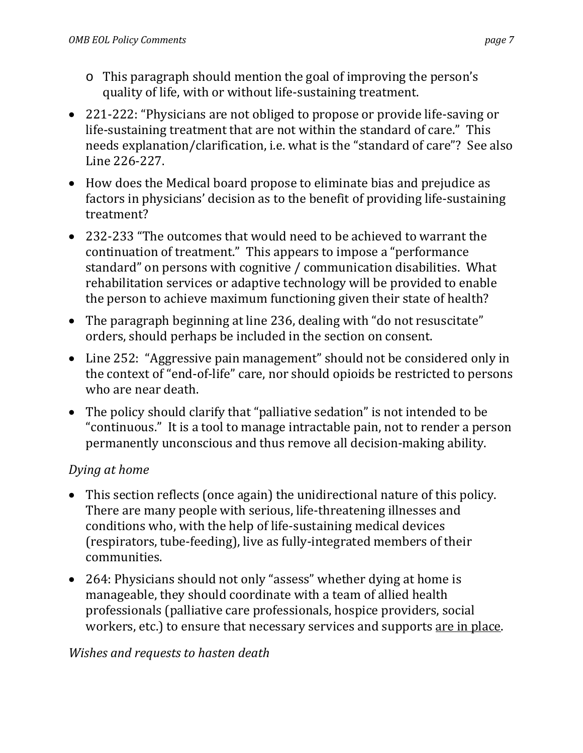- o This paragraph should mention the goal of improving the person's quality of life, with or without life-sustaining treatment.
- 221-222: "Physicians are not obliged to propose or provide life-saving or life-sustaining treatment that are not within the standard of care." This needs explanation/clarification, i.e. what is the "standard of care"? See also Line 226-227.
- How does the Medical board propose to eliminate bias and prejudice as factors in physicians' decision as to the benefit of providing life-sustaining treatment?
- 232-233 "The outcomes that would need to be achieved to warrant the continuation of treatment." This appears to impose a "performance standard" on persons with cognitive / communication disabilities. What rehabilitation services or adaptive technology will be provided to enable the person to achieve maximum functioning given their state of health?
- The paragraph beginning at line 236, dealing with "do not resuscitate" orders, should perhaps be included in the section on consent.
- Line 252: "Aggressive pain management" should not be considered only in the context of "end-of-life" care, nor should opioids be restricted to persons who are near death.
- The policy should clarify that "palliative sedation" is not intended to be "continuous." It is a tool to manage intractable pain, not to render a person permanently unconscious and thus remove all decision-making ability.

## *Dying at home*

- This section reflects (once again) the unidirectional nature of this policy. There are many people with serious, life-threatening illnesses and conditions who, with the help of life-sustaining medical devices (respirators, tube-feeding), live as fully-integrated members of their communities.
- 264: Physicians should not only "assess" whether dying at home is manageable, they should coordinate with a team of allied health professionals (palliative care professionals, hospice providers, social workers, etc.) to ensure that necessary services and supports are in place.

#### *Wishes and requests to hasten death*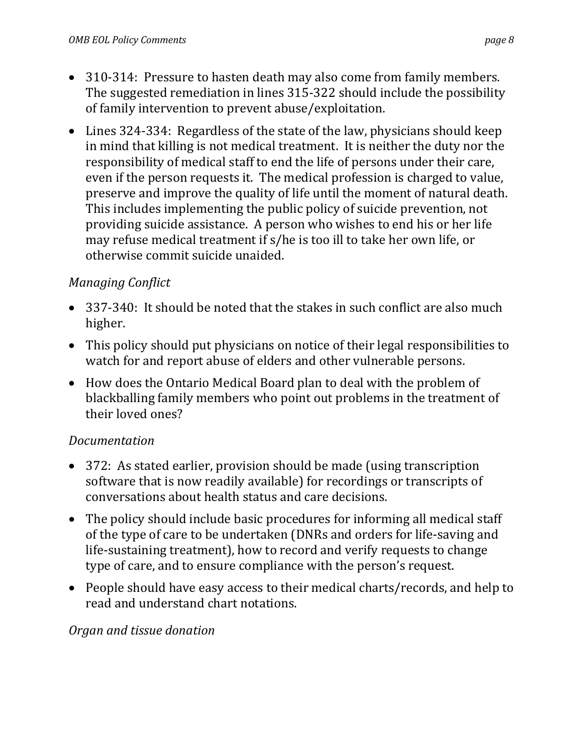- 310-314: Pressure to hasten death may also come from family members. The suggested remediation in lines 315-322 should include the possibility of family intervention to prevent abuse/exploitation.
- Lines 324-334: Regardless of the state of the law, physicians should keep in mind that killing is not medical treatment. It is neither the duty nor the responsibility of medical staff to end the life of persons under their care, even if the person requests it. The medical profession is charged to value, preserve and improve the quality of life until the moment of natural death. This includes implementing the public policy of suicide prevention, not providing suicide assistance. A person who wishes to end his or her life may refuse medical treatment if s/he is too ill to take her own life, or otherwise commit suicide unaided.

#### *Managing Conflict*

- 337-340: It should be noted that the stakes in such conflict are also much higher.
- This policy should put physicians on notice of their legal responsibilities to watch for and report abuse of elders and other vulnerable persons.
- How does the Ontario Medical Board plan to deal with the problem of blackballing family members who point out problems in the treatment of their loved ones?

#### *Documentation*

- 372: As stated earlier, provision should be made (using transcription software that is now readily available) for recordings or transcripts of conversations about health status and care decisions.
- The policy should include basic procedures for informing all medical staff of the type of care to be undertaken (DNRs and orders for life-saving and life-sustaining treatment), how to record and verify requests to change type of care, and to ensure compliance with the person's request.
- People should have easy access to their medical charts/records, and help to read and understand chart notations.

#### *Organ and tissue donation*